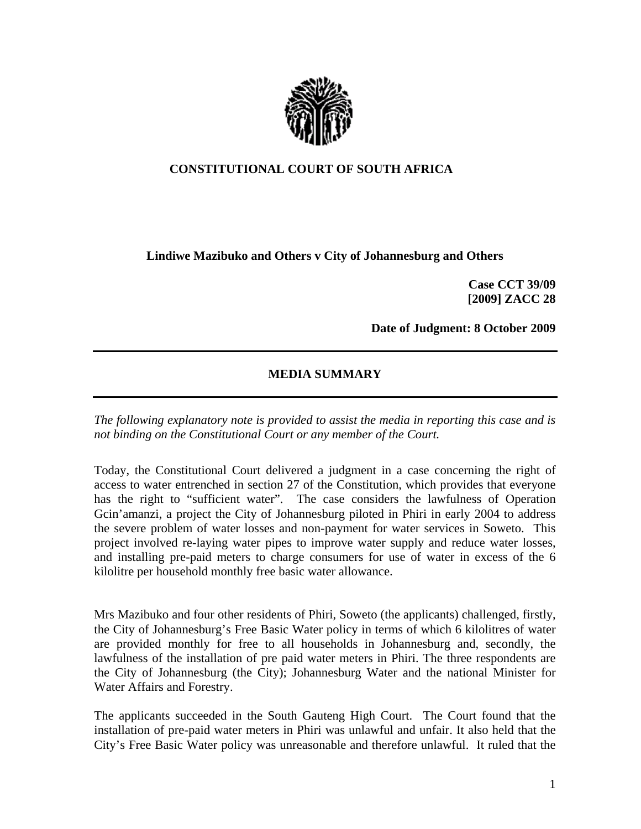

## **CONSTITUTIONAL COURT OF SOUTH AFRICA**

## **Lindiwe Mazibuko and Others v City of Johannesburg and Others**

**Case CCT 39/09 [2009] ZACC 28** 

**Date of Judgment: 8 October 2009** 

## **MEDIA SUMMARY**

*The following explanatory note is provided to assist the media in reporting this case and is not binding on the Constitutional Court or any member of the Court.* 

Today, the Constitutional Court delivered a judgment in a case concerning the right of access to water entrenched in section 27 of the Constitution, which provides that everyone has the right to "sufficient water". The case considers the lawfulness of Operation Gcin'amanzi, a project the City of Johannesburg piloted in Phiri in early 2004 to address the severe problem of water losses and non-payment for water services in Soweto. This project involved re-laying water pipes to improve water supply and reduce water losses, and installing pre-paid meters to charge consumers for use of water in excess of the 6 kilolitre per household monthly free basic water allowance.

Mrs Mazibuko and four other residents of Phiri, Soweto (the applicants) challenged, firstly, the City of Johannesburg's Free Basic Water policy in terms of which 6 kilolitres of water are provided monthly for free to all households in Johannesburg and, secondly, the lawfulness of the installation of pre paid water meters in Phiri. The three respondents are the City of Johannesburg (the City); Johannesburg Water and the national Minister for Water Affairs and Forestry.

The applicants succeeded in the South Gauteng High Court. The Court found that the installation of pre-paid water meters in Phiri was unlawful and unfair. It also held that the City's Free Basic Water policy was unreasonable and therefore unlawful. It ruled that the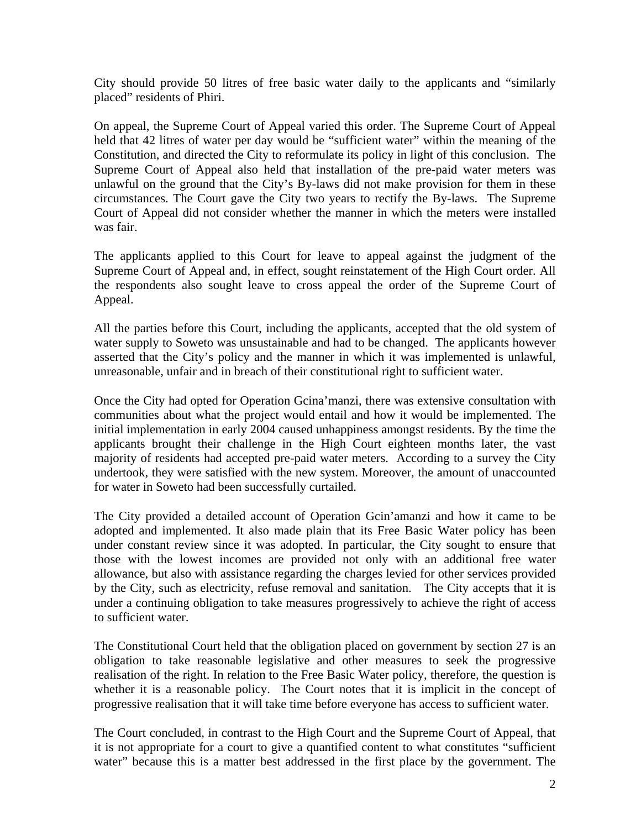City should provide 50 litres of free basic water daily to the applicants and "similarly placed" residents of Phiri.

On appeal, the Supreme Court of Appeal varied this order. The Supreme Court of Appeal held that 42 litres of water per day would be "sufficient water" within the meaning of the Constitution, and directed the City to reformulate its policy in light of this conclusion. The Supreme Court of Appeal also held that installation of the pre-paid water meters was unlawful on the ground that the City's By-laws did not make provision for them in these circumstances. The Court gave the City two years to rectify the By-laws. The Supreme Court of Appeal did not consider whether the manner in which the meters were installed was fair.

The applicants applied to this Court for leave to appeal against the judgment of the Supreme Court of Appeal and, in effect, sought reinstatement of the High Court order. All the respondents also sought leave to cross appeal the order of the Supreme Court of Appeal.

All the parties before this Court, including the applicants, accepted that the old system of water supply to Soweto was unsustainable and had to be changed. The applicants however asserted that the City's policy and the manner in which it was implemented is unlawful, unreasonable, unfair and in breach of their constitutional right to sufficient water.

Once the City had opted for Operation Gcina'manzi, there was extensive consultation with communities about what the project would entail and how it would be implemented. The initial implementation in early 2004 caused unhappiness amongst residents. By the time the applicants brought their challenge in the High Court eighteen months later, the vast majority of residents had accepted pre-paid water meters. According to a survey the City undertook, they were satisfied with the new system. Moreover, the amount of unaccounted for water in Soweto had been successfully curtailed.

The City provided a detailed account of Operation Gcin'amanzi and how it came to be adopted and implemented. It also made plain that its Free Basic Water policy has been under constant review since it was adopted. In particular, the City sought to ensure that those with the lowest incomes are provided not only with an additional free water allowance, but also with assistance regarding the charges levied for other services provided by the City, such as electricity, refuse removal and sanitation. The City accepts that it is under a continuing obligation to take measures progressively to achieve the right of access to sufficient water.

The Constitutional Court held that the obligation placed on government by section 27 is an obligation to take reasonable legislative and other measures to seek the progressive realisation of the right. In relation to the Free Basic Water policy, therefore, the question is whether it is a reasonable policy. The Court notes that it is implicit in the concept of progressive realisation that it will take time before everyone has access to sufficient water.

The Court concluded, in contrast to the High Court and the Supreme Court of Appeal, that it is not appropriate for a court to give a quantified content to what constitutes "sufficient water" because this is a matter best addressed in the first place by the government. The